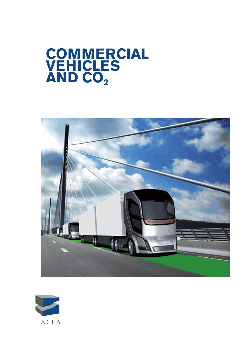# **Commercial vehicles AND CO2**



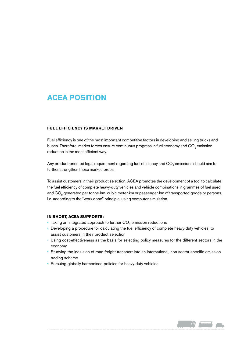## **ACEA position**

#### **Fuel Efficiency is Market Driven**

Fuel efficiency is one of the most important competitive factors in developing and selling trucks and buses. Therefore, market forces ensure continuous progress in fuel economy and CO<sub>2</sub> emission reduction in the most efficient way.

Any product-oriented legal requirement regarding fuel efficiency and CO<sub>2</sub> emissions should aim to further strengthen these market forces.

To assist customers in their product selection, ACEA promotes the development of a tool to calculate the fuel efficiency of complete heavy-duty vehicles and vehicle combinations in grammes of fuel used and CO<sub>2</sub> generated per tonne-km, cubic meter-km or passenger-km of transported goods or persons, i.e. according to the "work done" principle, using computer simulation.

#### **In short, ACEA Supports:**

- Taking an integrated approach to further  $CO<sub>2</sub>$  emission reductions
- • Developing a procedure for calculating the fuel efficiency of complete heavy-duty vehicles, to assist customers in their product selection
- • Using cost-effectiveness as the basis for selecting policy measures for the different sectors in the economy
- Studying the inclusion of road freight transport into an international, non-sector specific emission trading scheme
- Pursuing globally harmonised policies for heavy-duty vehicles

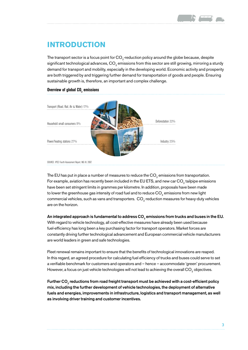

## **Introduction**

The transport sector is a focus point for CO<sub>2</sub>-reduction policy around the globe because, despite significant technological advances, CO<sub>2</sub> emissions from this sector are still growing, mirroring a sturdy demand for transport and mobility, especially in the developing world. Economic activity and prosperity are both triggered by and triggering further demand for transportation of goods and people. Ensuring sustainable growth is, therefore, an important and complex challenge.



Source: IPCC Fourth Assessment Report, WG III, 2007.

The EU has put in place a number of measures to reduce the  $CO<sub>2</sub>$  emissions from transportation. For example, aviation has recently been included in the EU ETS, and new car  $CO<sub>o</sub>$  tailpipe emissions have been set stringent limits in grammes per kilometre. In addition, proposals have been made to lower the greenhouse gas intensity of road fuel and to reduce CO<sub>2</sub> emissions from new light commercial vehicles, such as vans and transporters. CO<sub>2</sub>-reduction measures for heavy-duty vehicles are on the horizon.

## An integrated approach is fundamental to address CO $_{\textrm{\tiny{2}}}$  emissions from trucks and buses in the EU.

With regard to vehicle technology, all cost-effective measures have already been used because fuel-efficiency has long been a key purchasing factor for transport operators. Market forces are constantly driving further technological advancement and European commercial vehicle manufacturers are world leaders in green and safe technologies.

Fleet renewal remains important to ensure that the benefits of technological innovations are reaped. In this regard, an agreed procedure for calculating fuel efficiency of trucks and buses could serve to set a verifiable benchmark for customers and operators and – hence – accommodate 'green' procurement. However, a focus on just vehicle technologies will not lead to achieving the overall CO<sub>2</sub> objectives.

Further CO $_{\tiny 2}$  reductions from road freight transport must be achieved with a cost-efficient policy mix, including the further development of vehicle technologies, the deployment of alternative fuels and energies, improvements in infrastructure, logistics and transport management, as well as involving driver training and customer incentives.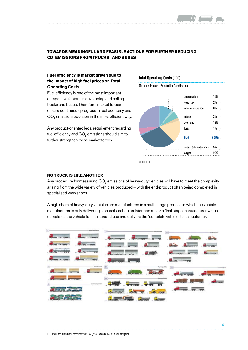

## **TOWARDS MEANINGFUL AND FEASIBLE ACTIONS FOR FURTHER REDUCING CO2 EMISSIONS FROM TRUCKS1 AND BUSEs**

### **Fuel efficiency is market driven due to the impact of high fuel prices on Total Operating Costs.**

Fuel efficiency is one of the most important competitive factors in developing and selling trucks and buses. Therefore, market forces ensure continuous progress in fuel economy and CO<sub>2</sub> emission reduction in the most efficient way.

Any product-oriented legal requirement regarding fuel efficiency and CO<sub>2</sub> emissions should aim to further strengthen these market forces.

**Total Operating Costs** (TOC)

40-tonne Tractor – Semitrailer Combination



#### **No truck is like another**

Any procedure for measuring CO<sub>2</sub> emissions of heavy-duty vehicles will have to meet the complexity arising from the wide variety of vehicles produced – with the end-product often being completed in specialised workshops.

A high share of heavy-duty vehicles are manufactured in a multi-stage process in which the vehicle manufacturer is only delivering a chassis-cab to an intermediate or a final stage manufacturer which completes the vehicle for its intended use and delivers the 'complete vehicle' to its customer.

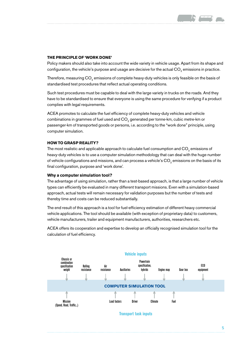#### **THE PRINCIPLE OF 'WORK DONE'**

Policy makers should also take into account the wide variety in vehicle usage. Apart from its shape and configuration, the vehicle's purpose and usage are decisive for the actual CO<sub>2</sub> emissions in practice.

Therefore, measuring  $CO<sub>2</sub>$  emissions of complete heavy-duty vehicles is only feasible on the basis of standardised test procedures that reflect actual operating conditions.

Such test procedures must be capable to deal with the large variety in trucks on the roads. And they have to be standardised to ensure that everyone is using the same procedure for verifying if a product complies with legal requirements.

ACEA promotes to calculate the fuel efficiency of complete heavy-duty vehicles and vehicle combinations in grammes of fuel used and CO<sub>2</sub> generated per tonne-km, cubic metre-km or passenger-km of transported goods or persons, i.e. according to the "work done" principle, using computer simulation.

#### **How to grasp reality?**

The most realistic and applicable approach to calculate fuel consumption and  $CO<sub>2</sub>$  emissions of heavy-duty vehicles is to use a computer simulation methodology that can deal with the huge number of vehicle configurations and missions, and can process a vehicle's CO<sub>2</sub> emissions on the basis of its final configuration, purpose and 'work done'.

#### **Why a computer simulation tool?**

The advantage of using simulation, rather than a test-based approach, is that a large number of vehicle types can efficiently be evaluated in many different transport missions. Even with a simulation-based approach, actual tests will remain necessary for validation purposes but the number of tests and thereby time and costs can be reduced substantially.

The end result of this approach is a tool for fuel-efficiency estimation of different heavy commercial vehicle applications. The tool should be available (with exception of proprietary data) to customers, vehicle manufacturers, trailer and equipment manufacturers, authorities, researchers etc.

ACEA offers its cooperation and expertise to develop an officially recognised simulation tool for the calculation of fuel efficiency.



**Transport task inputs**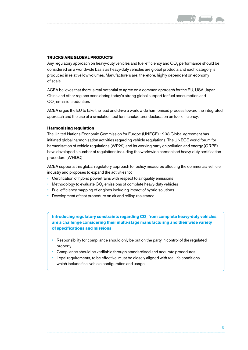#### **TRUCKS ARE GLOBAL PRODUCTS**

Any regulatory approach on heavy-duty vehicles and fuel efficiency and CO<sub>2</sub> performance should be considered on a worldwide basis as heavy-duty vehicles are global products and each category is produced in relative low volumes. Manufacturers are, therefore, highly dependent on economy of scale.

ACEA believes that there is real potential to agree on a common approach for the EU, USA, Japan, China and other regions considering today's strong global support for fuel consumption and CO<sub>2</sub> emission reduction.

ACEA urges the EU to take the lead and drive a worldwide harmonised process toward the integrated approach and the use of a simulation tool for manufacturer declaration on fuel efficiency.

#### **Harmonising regulation**

The United Nations Economic Commission for Europe (UNECE) 1998 Global agreement has initiated global harmonisation activities regarding vehicle regulations. The UNECE world forum for harmonisation of vehicle regulations (WP29) and its working party on pollution and energy (GRPE) have developed a number of regulations including the worldwide harmonised heavy-duty certification procedure (WHDC).

ACEA supports this global regulatory approach for policy measures affecting the commercial vehicle industry and proposes to expand the activities to:

- Certification of hybrid powertrains with respect to air quality emissions
- Methodology to evaluate CO<sub>2</sub> emissions of complete heavy-duty vehicles
- Fuel efficiency mapping of engines including impact of hybrid solutions
- Development of test procedure on air and rolling resistance

Introducing regulatory constraints regarding CO<sub>2</sub> from complete heavy-duty vehicles **are a challenge considering their multi-stage manufacturing and their wide variety of specifications and missions** 

- Responsibility for compliance should only be put on the party in control of the regulated property
- Compliance should be verifiable through standardised and accurate procedures
- • Legal requirements, to be effective, must be closely aligned with real-life conditions which include final vehicle configuration and usage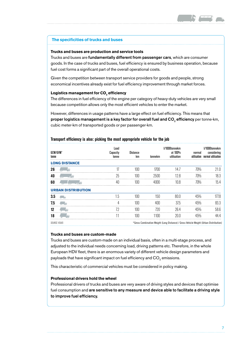

#### **The specificities of trucks and buses**

#### **Trucks and buses are production and service tools**

Trucks and buses are fundamentally different from passenger cars, which are consumer goods. In the case of trucks and buses, fuel efficiency is ensured by business operation, because fuel cost forms a significant part of the overall operational costs.

Given the competition between transport service providers for goods and people, strong economical incentives already exist for fuel efficiency improvement through market forces.

### **Logistics management for CO<sub>2</sub> efficiency**

The differences in fuel efficiency of the engine per category of heavy-duty vehicles are very small because competition allows only the most efficient vehicles to enter the market.

However, differences in usage patterns have a large effect on fuel efficiency. This means that **proper logistics management is a key factor for overall fuel and CO** $_2$  **efficiency** per tonne-km, cubic meter-km of transported goods or per passenger-km.

| GCW/GVW*<br>tonne              | Load<br>Capacity<br>tonne | Distance<br>km | tonnekm | I/1000tonnekm<br>at 100%<br>utilisation                                               | normal<br>utilisation | I/1000tonnekm<br>considering<br>normal utilisation |
|--------------------------------|---------------------------|----------------|---------|---------------------------------------------------------------------------------------|-----------------------|----------------------------------------------------|
| <b>LONG DISTANCE</b>           |                           |                |         |                                                                                       |                       |                                                    |
| 26                             | 17                        | 100            | 1700    | 14.7                                                                                  | 70%                   | 21.0                                               |
| 40                             | 25                        | 100            | 2500    | 12.8                                                                                  | 70%                   | 18.3                                               |
| 60                             | 40                        | 100            | 4000    | 10.8                                                                                  | 70%                   | 15.4                                               |
| <b>URBAN DISTRIBUTION</b>      |                           |                |         |                                                                                       |                       |                                                    |
| 3.5                            | 1.5                       | 100            | 150     | 80.0                                                                                  | 45%                   | 177.8                                              |
| 7.5                            | 4                         | 100            | 400     | 37.5                                                                                  | 45%                   | 83.3                                               |
| 12<br>▭                        | 72                        | 100            | 720     | 26.4                                                                                  | 45%                   | 58.6                                               |
| 18<br>$\overline{\phantom{a}}$ | 11                        | 100            | 1100    | 20.0                                                                                  | 45%                   | 44.4                                               |
| SOURCE VOLVO                   |                           |                |         | *Gross Combination Weight (Long Distance) / Gross Vehicle Weight (Urban Distribution) |                       |                                                    |

#### **Transport efficiency is also: picking the most appropriate vehicle for the job**

#### **Trucks and buses are custom-made**

Trucks and buses are custom-made on an individual basis, often in a multi-stage process, and adjusted to the individual needs concerning load, driving patterns etc. Therefore, in the whole European HDV fleet, there is an enormous variety of different vehicle design parameters and payloads that have significant impact on fuel efficiency and CO<sub>2</sub> emissions.

This characteristic of commercial vehicles must be considered in policy making.

#### **Professional drivers hold the wheel**

Professional drivers of trucks and buses are very aware of driving styles and devices that optimise fuel consumption and are sensitive to any measure and device able to facilitate a driving style to improve fuel efficiency.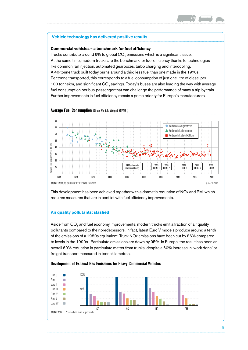#### **Vehicle technology has delivered positive results**

#### **Commercial vehicles – a benchmark for fuel efficiency**

Trucks contribute around 6% to global CO<sub>2</sub> emissions which is a significant issue. At the same time, modern trucks are the benchmark for fuel efficiency thanks to technologies like common rail injection, automated gearboxes, turbo charging and intercooling. A 40-tonne truck built today burns around a third less fuel than one made in the 1970s. Per tonne transported, this corresponds to a fuel consumption of just one litre of diesel per 100 tonnekm, and significant CO<sub>2</sub> savings. Today's buses are also leading the way with average fuel consumption per bus-passenger that can challenge the performance of many a trip by train. Further improvements in fuel efficiency remain a prime priority for Europe's manufacturers.



**Average Fuel Consumption** (Gross Vehicle Weight 38/40 t)

This development has been achieved together with a dramatic reduction of NOx and PM, which requires measures that are in conflict with fuel efficiency improvements.

#### **Air quality pollutants: slashed**

Aside from CO<sub>2</sub> and fuel economy improvements, modern trucks emit a fraction of air quality pollutants compared to their predecessors. In fact, latest Euro V models produce around a tenth of the emissions of a 1980s equivalent. Truck NOx emissions have been cut by 86% compared to levels in the 1990s. Particulate emissions are down by 95%. In Europe, the result has been an overall 60% reduction in particulate matter from trucks, despite a 60% increase in 'work done' or freight transport measured in tonnekilometres.

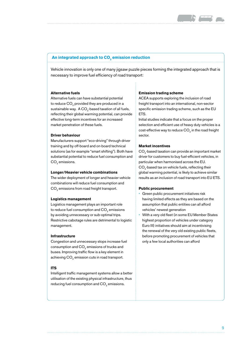

#### **An integrated approach to CO<sub>2</sub> emission reduction**

Vehicle innovation is only one of many jigsaw puzzle pieces forming the integrated approach that is necessary to improve fuel efficiency of road transport:

#### **Alternative fuels**

Alternative fuels can have substantial potential to reduce CO<sub>2</sub> provided they are produced in a sustainable way. A CO<sub>2</sub>-based taxation of all fuels, reflecting their global warming potential, can provide effective long-term incentives for an increased market penetration of these fuels.

#### **Driver behaviour**

Manufacturers support "eco-driving" through driver training and by off-board and on-board technical solutions (as for example "smart shifting"). Both have substantial potential to reduce fuel consumption and CO<sub>c</sub> emissions.

#### **Longer/Heavier vehicle combinations**

The wider deployment of longer and heavier vehicle combinations will reduce fuel consumption and CO<sub>2</sub> emissions from road freight transport.

#### **Logistics management**

Logistics management plays an important role to reduce fuel consumption and CO<sub>2</sub> emissions by avoiding unnecessary or sub-optimal trips. Restrictive cabotage rules are detrimental to logistic management.

#### **Infrastructure**

Congestion and unnecessary stops increase fuel consumption and CO<sub>2</sub> emissions of trucks and buses. Improving traffic flow is a key element in achieving CO<sub>2</sub> emission cuts in road transport.

#### **ITS**

Intelligent traffic management systems allow a better utilisation of the existing physical infrastructure, thus reducing fuel consumption and CO<sub>2</sub> emissions.

#### **Emission trading scheme**

ACEA supports exploring the inclusion of road freight transport into an international, non-sector specific emission trading scheme, such as the EU ETS.

Initial studies indicate that a focus on the proper selection and efficient use of heavy duty vehicles is a cost-effective way to reduce CO<sub>2</sub> in the road freight sector.

#### **Market incentives**

CO<sub>2</sub>-based taxation can provide an important market driver for customers to buy fuel-efficient vehicles, in particular when harmonised across the EU. CO<sub>2</sub>-based tax on vehicle fuels, reflecting their global warming potential, is likely to achieve similar results as an inclusion of road transport into EU ETS.

#### **Public procurement**

- Green public procurement initiatives risk having limited effects as they are based on the assumption that public entities can all afford vehicles' newest generation
- With a very old fleet (in some EU Member States highest proportion of vehicles under category Euro III) initiatives should aim at incentivising the renewal of the very old existing public fleets, before promoting procurement of vehicles that only a few local authorities can afford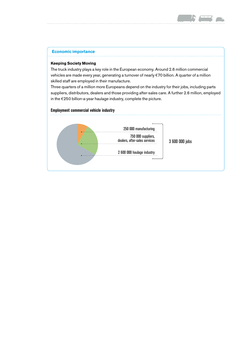

#### **Economic importance**

#### **Keeping Society Moving**

The truck industry plays a key role in the European economy. Around 2.6 million commercial vehicles are made every year, generating a turnover of nearly €70 billion. A quarter of a million skilled staff are employed in their manufacture.

Three quarters of a million more Europeans depend on the industry for their jobs, including parts suppliers, distributors, dealers and those providing after-sales care. A further 2.6 million, employed in the €250 billion-a-year haulage industry, complete the picture.

#### **Employment commercial vehicle industry**